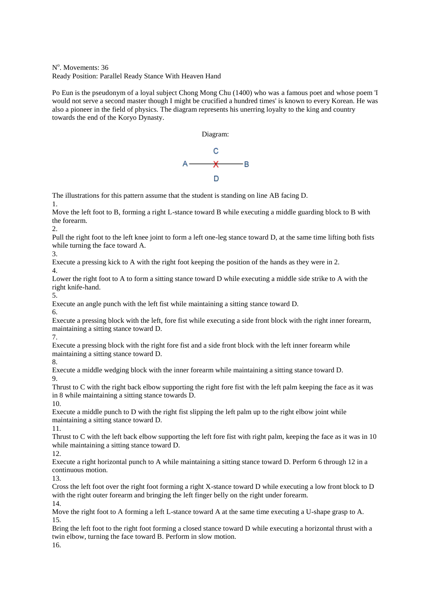N<sup>o</sup>. Movements: 36 Ready Position: Parallel Ready Stance With Heaven Hand

Po Eun is the pseudonym of a loyal subject Chong Mong Chu (1400) who was a famous poet and whose poem 'I would not serve a second master though I might be crucified a hundred times' is known to every Korean. He was also a pioneer in the field of physics. The diagram represents his unerring loyalty to the king and country towards the end of the Koryo Dynasty.

Diagram:



The illustrations for this pattern assume that the student is standing on line AB facing D. 1.

Move the left foot to B, forming a right L-stance toward B while executing a middle guarding block to B with the forearm.

 $\mathcal{D}$ 

Pull the right foot to the left knee joint to form a left one-leg stance toward D, at the same time lifting both fists while turning the face toward A.

3.

Execute a pressing kick to A with the right foot keeping the position of the hands as they were in 2.

4.

Lower the right foot to A to form a sitting stance toward D while executing a middle side strike to A with the right knife-hand.

5.

Execute an angle punch with the left fist while maintaining a sitting stance toward D.

6.

Execute a pressing block with the left, fore fist while executing a side front block with the right inner forearm, maintaining a sitting stance toward D. 7.

Execute a pressing block with the right fore fist and a side front block with the left inner forearm while maintaining a sitting stance toward D.

8.

Execute a middle wedging block with the inner forearm while maintaining a sitting stance toward D. 9.

Thrust to C with the right back elbow supporting the right fore fist with the left palm keeping the face as it was in 8 while maintaining a sitting stance towards D.

10.

Execute a middle punch to D with the right fist slipping the left palm up to the right elbow joint while maintaining a sitting stance toward D.

11.

Thrust to C with the left back elbow supporting the left fore fist with right palm, keeping the face as it was in 10 while maintaining a sitting stance toward D.

12.

Execute a right horizontal punch to A while maintaining a sitting stance toward D. Perform 6 through 12 in a continuous motion.

13.

Cross the left foot over the right foot forming a right X-stance toward D while executing a low front block to D with the right outer forearm and bringing the left finger belly on the right under forearm.

14.

Move the right foot to A forming a left L-stance toward A at the same time executing a U-shape grasp to A. 15.

Bring the left foot to the right foot forming a closed stance toward D while executing a horizontal thrust with a twin elbow, turning the face toward B. Perform in slow motion. 16.